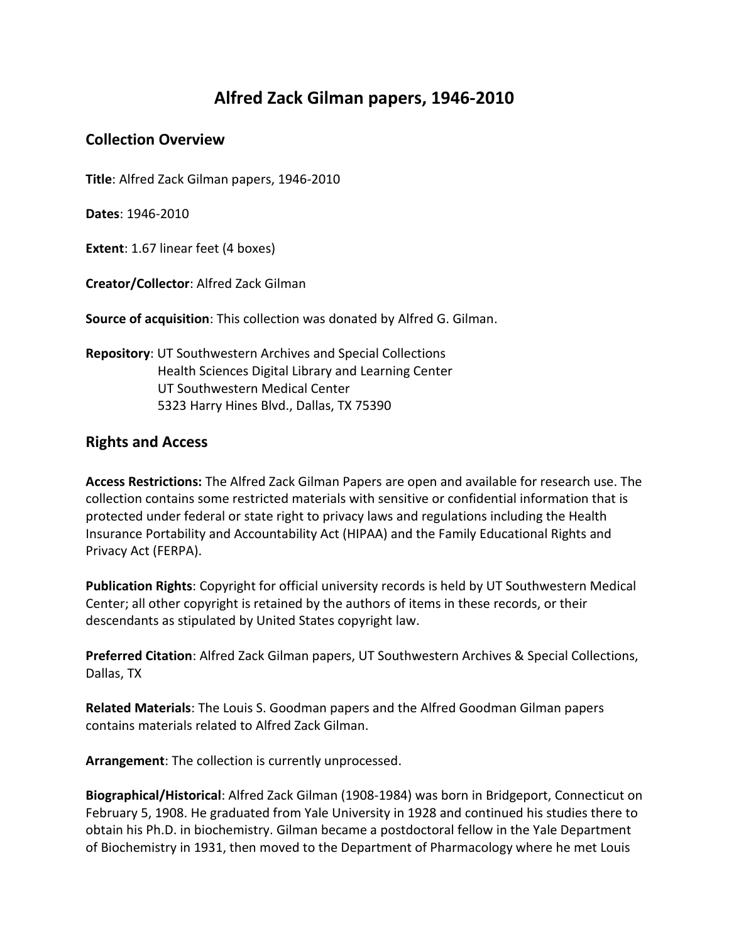## **Alfred Zack Gilman papers, 1946-2010**

## **Collection Overview**

**Title**: Alfred Zack Gilman papers, 1946-2010

**Dates**: 1946-2010

**Extent**: 1.67 linear feet (4 boxes)

**Creator/Collector**: Alfred Zack Gilman

**Source of acquisition**: This collection was donated by Alfred G. Gilman.

**Repository**: UT Southwestern Archives and Special Collections Health Sciences Digital Library and Learning Center UT Southwestern Medical Center 5323 Harry Hines Blvd., Dallas, TX 75390

## **Rights and Access**

**Access Restrictions:** The Alfred Zack Gilman Papers are open and available for research use. The collection contains some restricted materials with sensitive or confidential information that is protected under federal or state right to privacy laws and regulations including the Health Insurance Portability and Accountability Act (HIPAA) and the Family Educational Rights and Privacy Act (FERPA).

**Publication Rights**: Copyright for official university records is held by UT Southwestern Medical Center; all other copyright is retained by the authors of items in these records, or their descendants as stipulated by United States copyright law.

**Preferred Citation**: Alfred Zack Gilman papers, UT Southwestern Archives & Special Collections, Dallas, TX

**Related Materials**: The Louis S. Goodman papers and the Alfred Goodman Gilman papers contains materials related to Alfred Zack Gilman.

**Arrangement**: The collection is currently unprocessed.

**Biographical/Historical**: Alfred Zack Gilman (1908-1984) was born in Bridgeport, Connecticut on February 5, 1908. He graduated from Yale University in 1928 and continued his studies there to obtain his Ph.D. in biochemistry. Gilman became a postdoctoral fellow in the Yale Department of Biochemistry in 1931, then moved to the Department of Pharmacology where he met Louis